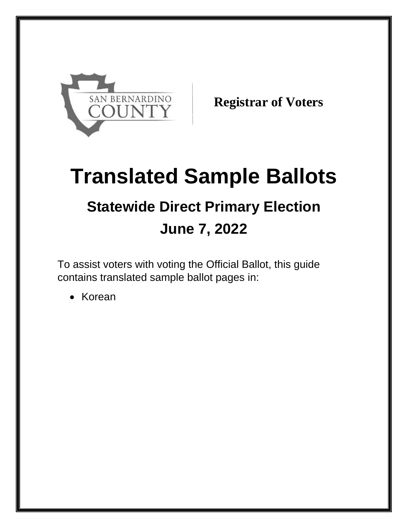

**Registrar of Voters**

# **Translated Sample Ballots Statewide Direct Primary Election June 7, 2022**

To assist voters with voting the Official Ballot, this guide contains translated sample ballot pages in:

• Korean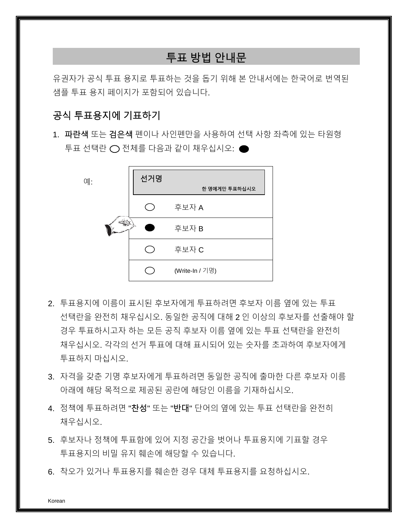# 투표 방법 안내문

유권자가 공식 투표 용지로 투표하는 것을 돕기 위해 본 안내서에는 한국어로 번역된 샘플 투표 용지 페이지가 포함되어 있습니다.

## 공식 투표용지에 기표하기

1. 파란색 또는 검은색 펜이나 사인펜만을 사용하여 선택 사항 좌측에 있는 타원형 투표 선택란 ◯ 전체를 다음과 같이 채우십시오: ●



- 2. 투표용지에 이름이 표시된 후보자에게 투표하려면 후보자 이름 옆에 있는 투표 선택란을 완전히 채우십시오. 동일한 공직에 대해 2 인 이상의 후보자를 선출해야 할 경우 투표하시고자 하는 모든 공직 후보자 이름 옆에 있는 투표 선택란을 완전히 채우십시오. 각각의 선거 투표에 대해 표시되어 있는 숫자를 초과하여 후보자에게 투표하지 마십시오.
- 3. 자격을 갖춘 기명 후보자에게 투표하려면 동일한 공직에 출마한 다른 후보자 이름 아래에 해당 목적으로 제공된 공란에 해당인 이름을 기재하십시오.
- 4. 정책에 투표하려면 "찬성" 또는 "반대" 단어의 옆에 있는 투표 선택란을 완전히 채우십시오.
- 5. 후보자나 정책에 투표함에 있어 지정 공간을 벗어나 투표용지에 기표할 경우 투표용지의 비밀 유지 훼손에 해당할 수 있습니다.
- 6. 착오가 있거나 투표용지를 훼손한 경우 대체 투표용지를 요청하십시오.

Korean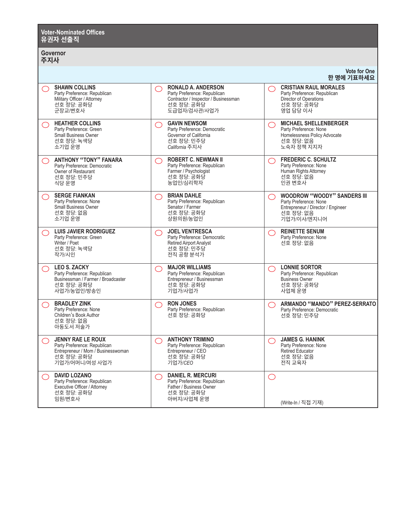| <b>Voter-Nominated Offices</b><br>유권자 선출직                                                                                                    |                                                                                                                                                      |                                                                                                                                                   |  |
|----------------------------------------------------------------------------------------------------------------------------------------------|------------------------------------------------------------------------------------------------------------------------------------------------------|---------------------------------------------------------------------------------------------------------------------------------------------------|--|
| Governor<br>주지사                                                                                                                              |                                                                                                                                                      |                                                                                                                                                   |  |
|                                                                                                                                              |                                                                                                                                                      | <b>Vote for One</b><br>한 명에 기표하세요                                                                                                                 |  |
| <b>SHAWN COLLINS</b><br>◯<br>Party Preference: Republican<br>Military Officer / Attorney<br>선호 청당: 공화당<br>군장교/변호사                            | <b>RONALD A. ANDERSON</b><br>◯<br>Party Preference: Republican<br>Contractor / Inspector / Businessman<br>선호 정당: 공화당<br>도급업자/검사관/사업가                 | <b>CRISTIAN RAUL MORALES</b><br>◯<br>Party Preference: Republican<br>Director of Operations<br>선호 정당: 공화당<br>영업 담당 이사                             |  |
| <b>HEATHER COLLINS</b><br>◯<br>Party Preference: Green<br><b>Small Business Owner</b><br>선호 정당: 녹색당<br>소기업 운영                                | <b>GAVIN NEWSOM</b><br>$\bigcirc$<br>Party Preference: Democratic<br>Governor of California<br>선호 정당: 민주당<br>California 주지사                          | <b>MICHAEL SHELLENBERGER</b><br>◯<br>Party Preference: None<br>Homelessness Policy Advocate<br>선호 정당: 없음<br>노숙자 정책 지지자                            |  |
| <b>ANTHONY "TONY" FANARA</b><br>⌒<br>Party Preference: Democratic<br>Owner of Restaurant<br>선호 정당: 민주당<br>식당 운영                              | <b>ROBERT C. NEWMAN II</b><br>$\bigcirc$<br>Party Preference: Republican<br>Farmer / Psychologist<br>선호 정당: 공화당<br>농업인/심리학자                          | <b>FREDERIC C. SCHULTZ</b><br>$\bigcirc$<br>Party Preference: None<br>Human Rights Attorney<br>선호 정당: 없음<br>인권 변호사                                |  |
| <b>SERGE FIANKAN</b><br>◯<br>Party Preference: None<br><b>Small Business Owner</b><br>선호 정당: 없음<br>소기업 운영                                    | <b>BRIAN DAHLE</b><br>$\bigcirc$<br>Party Preference: Republican<br>Senator / Farmer<br>선호 정당: 공화당<br>상원의원/농업인                                       | <b>WOODROW "WOODY" SANDERS III</b><br>◯<br>Party Preference: None<br>Entrepreneur / Director / Engineer<br>선호 정당: 없음<br>기업가/이사/엔지니어               |  |
| <b>LUIS JAVIER RODRIGUEZ</b><br>◯<br>Party Preference: Green<br>Writer / Poet<br>선호 정당: 녹색당<br>작가/시인                                         | <b>JOEL VENTRESCA</b><br>$\bigcirc$<br>Party Preference: Democratic<br><b>Retired Airport Analyst</b><br>선호 정당: 민주당<br>전직 공항 분석가                     | <b>REINETTE SENUM</b><br>◯<br>Party Preference: None<br>선호 정당: 없음                                                                                 |  |
| <b>LEO S. ZACKY</b><br>$\bigcirc$<br>Party Preference: Republican<br>Businessman / Farmer / Broadcaster<br>선호 정당: 공화당<br>사업가/농업인/방송인         | <b>MAJOR WILLIAMS</b><br>$\bigcirc$<br>Party Preference: Republican<br>Entrepreneur / Businessman<br>선호 정당: 공화당<br>기업가/사업가                           | <b>LONNIE SORTOR</b><br>◯<br>Party Preference: Republican<br><b>Business Owner</b><br>선호 정당: 공화당<br>사업체 운영                                        |  |
| <b>BRADLEY ZINK</b><br>⌒<br>Party Preference: None<br>Children's Book Author<br>선호 정당: 없음<br>아동도서 저술가                                        | <b>RON JONES</b><br>$\bigcirc$<br>Party Preference: Republican<br>선호 정당: 공화당                                                                         | ARMANDO "MANDO" PEREZ-SERRATO<br>$(\ )$<br>Party Preference: Democratic<br>선호 정당: 민주당                                                             |  |
| <b>JENNY RAE LE ROUX</b><br>$\bigcirc$<br>Party Preference: Republican<br>Entrepreneur / Mom / Businesswoman<br>선호 정당: 공화당<br>기업가/어머니/여성 사업가 | <b>ANTHONY TRIMINO</b><br>$\left(\begin{array}{c} \end{array}\right)$<br>Party Preference: Republican<br>Entrepreneur / CEO<br>선호 정당: 공화당<br>기업가/CEO | <b>JAMES G. HANINK</b><br>$\left(\begin{array}{c} \end{array}\right)$<br>Party Preference: None<br><b>Retired Educator</b><br>선호 정당: 없음<br>전직 교육자 |  |
| <b>DAVID LOZANO</b><br>◯<br>Party Preference: Republican<br>Executive Officer / Attorney<br>선호 정당: 공화당<br>임원/변호사                             | <b>DANIEL R. MERCURI</b><br>◯<br>Party Preference: Republican<br>Father / Business Owner<br>선호 정당: 공화당<br>아버지/사업체 운영                                 | $\bigcirc$<br>(Write-In / 직접 기재)                                                                                                                  |  |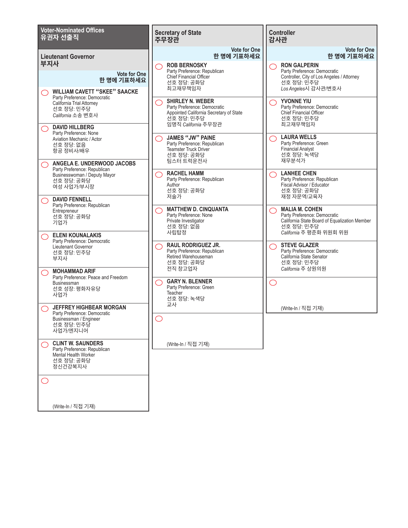| <b>Voter-Nominated Offices</b><br>유권자 선출직                                                                                                | <b>Secretary of State</b><br>주무장관                                                                                                                      | <b>Controller</b><br>감사관                                                                                                                                                                 |
|------------------------------------------------------------------------------------------------------------------------------------------|--------------------------------------------------------------------------------------------------------------------------------------------------------|------------------------------------------------------------------------------------------------------------------------------------------------------------------------------------------|
| <b>Lieutenant Governor</b>                                                                                                               | <b>Vote for One</b><br>한 명에 기표하세요                                                                                                                      | <b>Vote for One</b><br>한 명에 기표하세요                                                                                                                                                        |
| 부지사<br><b>Vote for One</b><br>한 명에 기표하세요<br><b>WILLIAM CAVETT "SKEE" SAACKE</b>                                                          | <b>ROB BERNOSKY</b><br>◯<br>Party Preference: Republican<br><b>Chief Financial Officer</b><br>선호 정당: 공화당<br>최고재무책임자                                    | <b>RON GALPERIN</b><br>$\left( \begin{array}{c} \end{array} \right)$<br>Party Preference: Democratic<br>Controller, City of Los Angeles / Attorney<br>선호 정당: 민주당<br>Los Angeles시 감사관/변호사 |
| Party Preference: Democratic<br>California Trial Attorney<br>선호 정당: 민주당<br>California 소송 변호사<br><b>DAVID HILLBERG</b>                    | <b>SHIRLEY N. WEBER</b><br>$\hat{ }$ )<br>Party Preference: Democratic<br>Appointed California Secretary of State<br>선호 정당: 민주당<br>임명직 California 주무장관 | YVONNE YIU<br>( )<br>Party Preference: Democratic<br>Chief Financial Officer<br>선호 정당: 민주당<br>최고재무책임자                                                                                    |
| $( \ )$<br>Party Preference: None<br>Aviation Mechanic / Actor<br>선호 정당: 없음<br>항공 정비사/배우                                                 | <b>JAMES "JW" PAINE</b><br>Party Preference: Republican<br><b>Teamster Truck Driver</b><br>선호 정당: 공화당                                                  | <b>LAURA WELLS</b><br>⌒<br>Party Preference: Green<br><b>Financial Analyst</b><br>선호 정당: 녹색당<br>재무분석가                                                                                    |
| ANGELA E. UNDERWOOD JACOBS<br>Party Preference: Republican<br>Businesswoman / Deputy Mayor<br>선호 정당: 공화당<br>여성 사업가/부시장                   | 팀스터 트럭운전사<br><b>RACHEL HAMM</b><br>Party Preference: Republican<br>Author<br>선호 정당: 공화당<br>저술가                                                         | <b>LANHEE CHEN</b><br>⌒<br>Party Preference: Republican<br>Fiscal Advisor / Educator<br>선호 정당: 공화당<br>재정 자문역/교육자                                                                         |
| <b>DAVID FENNELL</b><br>$\left(\begin{array}{c} \end{array}\right)$<br>Party Preference: Republican<br>Entrepreneur<br>선호 정당: 공화당<br>기업가 | <b>MATTHEW D. CINQUANTA</b><br>Party Preference: None<br>Private Investigator<br>선호 정당: 없음                                                             | <b>MALIA M. COHEN</b><br>◯<br>Party Preference: Democratic<br>California State Board of Equalization Member<br>선호 정당: 민주당                                                                |
| <b>ELENI KOUNALAKIS</b><br>Party Preference: Democratic<br>Lieutenant Governor<br>선호 정당: 민주당<br>부지사                                      | 사립탑정<br><b>RAUL RODRIGUEZ JR.</b><br>0<br>Party Preference: Republican<br>Retired Warehouseman<br>선호 정당: 공화당                                           | California 주 평준화 위원회 위원<br><b>STEVE GLAZER</b><br>( )<br>Party Preference: Democratic<br>California State Senator<br>선호 정당: 민주당                                                          |
| <b>MOHAMMAD ARIF</b><br>Party Preference: Peace and Freedom<br>Businessman<br>선호 성장: 평화자유당<br>사업가                                        | 전직 창고업자<br><b>GARY N. BLENNER</b><br>Party Preference: Green<br>Teacher<br>선호 정당: 녹색당                                                                  | California 주 상원의원<br>( )                                                                                                                                                                 |
| JEFFREY HIGHBEAR MORGAN<br>Party Preference: Democratic<br>Businessman / Engineer<br>선호 정당: 민주당<br>사업가/엔지니어                              | 교사                                                                                                                                                     | (Write-In / 직접 기재)                                                                                                                                                                       |
| <b>CLINT W. SAUNDERS</b><br>Party Preference: Republican<br><b>Mental Health Worker</b><br>선호 정당: 공화당<br>정신건강복지사                         | (Write-In / 직접 기재)                                                                                                                                     |                                                                                                                                                                                          |
|                                                                                                                                          |                                                                                                                                                        |                                                                                                                                                                                          |
| (Write-In / 직접 기재)                                                                                                                       |                                                                                                                                                        |                                                                                                                                                                                          |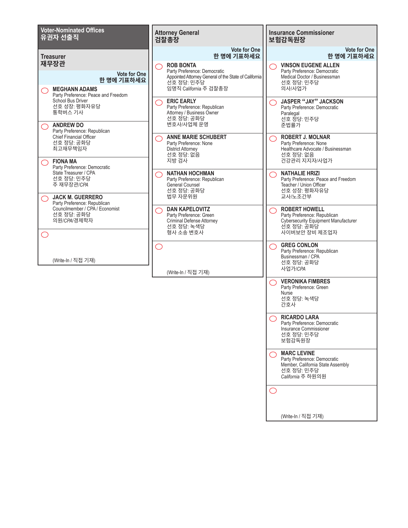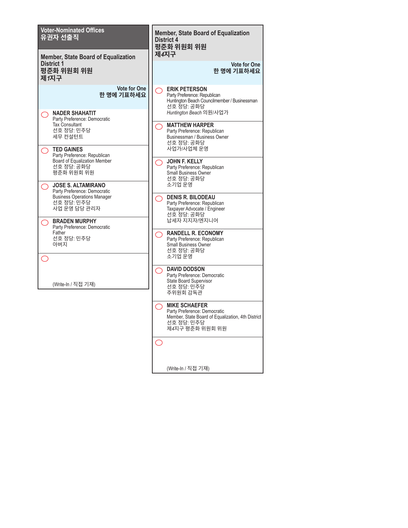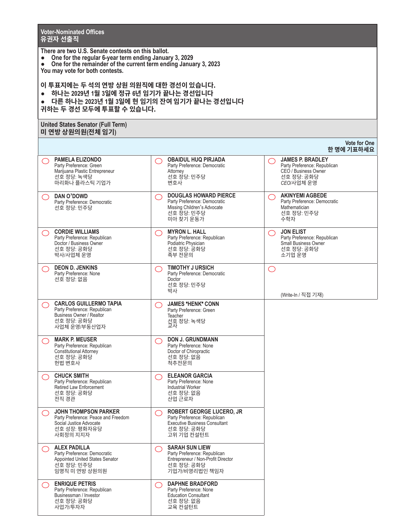**Voter-Nominated Offices 유권자 선출직**

**There are two U.S. Senate contests on this ballot.**

- **● One for the regular 6-year term ending January 3, 2029**
- **● One for the remainder of the current term ending January 3, 2023 You may vote for both contests.**

**이 투표지에는 두 석의 연방 상원 의원직에 대한 경선이 있습니다. ● 하나는 2029년 1월 3일에 정규 6년 임기가 끝나는 경선입니다 ● 다른 하나는 2023년 1월 3일에 현 임기의 잔여 임기가 끝나는 경선입니다 귀하는 두 경선 모두에 투표할 수 있습니다.**

### **United States Senator (Full Term) 미 연방 상원의원(전체 임기)**

|                                                                                                                                  |                                                                                                                                            | <b>VULC IUI UIIE</b><br>한 명에 기표하세요                                                                                 |
|----------------------------------------------------------------------------------------------------------------------------------|--------------------------------------------------------------------------------------------------------------------------------------------|--------------------------------------------------------------------------------------------------------------------|
| <b>PAMELA ELIZONDO</b><br>( )<br>Party Preference: Green<br>Marijuana Plastic Entrepreneur<br>선호 정당: 녹색당<br>마리화나 플라스틱 기업가        | <b>OBAIDUL HUQ PIRJADA</b><br>Party Preference: Democratic<br>Attorney<br>선호 정당: 민주당<br>변호사                                                | <b>JAMES P. BRADLEY</b><br>( )<br>Party Preference: Republican<br>CEO / Business Owner<br>선호 정당: 공화당<br>CEO/사업체 운영 |
| DAN O'DOWD<br>( )<br>Party Preference: Democratic<br>선호 정당: 민주당                                                                  | <b>DOUGLAS HOWARD PIERCE</b><br>O<br>Party Preference: Democratic<br>Missing Children's Advocate<br>선호 정당: 민주당<br>미아 찾기 운동가                | <b>AKINYEMI AGBEDE</b><br>$\bigcirc$<br>Party Preference: Democratic<br>Mathematician<br>선호 정당: 민주당<br>수학자         |
| <b>CORDIE WILLIAMS</b><br>( )<br>Party Preference: Republican<br>Doctor / Business Owner<br>선호 정당: 공화당<br>박사/사업체 운영              | <b>MYRON L. HALL</b><br>O<br>Party Preference: Republican<br>Podiatric Physician<br>선호 정당: 공화당<br>족부 전문의                                   | <b>JON ELIST</b><br>$\bigcirc$<br>Party Preference: Republican<br>Small Business Owner<br>선호 정당: 공화당<br>소기업 운영     |
| <b>DEON D. JENKINS</b><br>( )<br>Party Preference: None<br>선호 정당: 없음                                                             | <b>TIMOTHY J URSICH</b><br>$\bigcirc$<br>Party Preference: Democratic<br>Doctor<br>선호 정당: 민주당<br>박사                                        | $\bigcirc$<br>(Write-In / 직접 기재)                                                                                   |
| <b>CARLOS GUILLERMO TAPIA</b><br>( )<br>Party Preference: Republican<br>Business Owner / Realtor<br>선호 정당: 공화당<br>사업체 운영/부동산업자   | <b>JAMES "HENK" CONN</b><br>◯<br>Party Preference: Green<br>Teacher<br>선호 정당: 녹색당<br>교사                                                    |                                                                                                                    |
| <b>MARK P. MEUSER</b><br>( )<br>Party Preference: Republican<br><b>Constitutional Attorney</b><br>선호 정당: 공화당<br>헌법 변호사           | <b>DON J. GRUNDMANN</b><br>$\bigcirc$<br>Party Preference: None<br>Doctor of Chiropractic<br>선호 정당: 없음<br>척추전문의                            |                                                                                                                    |
| <b>CHUCK SMITH</b><br>( )<br>Party Preference: Republican<br>Retired Law Enforcement<br>선호 정당: 공화당<br>전직 경관                      | <b>ELEANOR GARCIA</b><br>$\bigcirc$<br>Party Preference: None<br>Industrial Worker<br>선호 정당: 없음<br>산업 근로자                                  |                                                                                                                    |
| <b>JOHN THOMPSON PARKER</b><br>( )<br>Party Preference: Peace and Freedom<br>Social Justice Advocate<br>선호 성장: 평화자유당<br>사회정의 지지자 | <b>ROBERT GEORGE LUCERO, JR</b><br>$\bigcirc$<br>Party Preference: Republican<br>Executive Business Consultant<br>선호 정당: 공화당<br>고위 기업 컨설턴트 |                                                                                                                    |
| <b>ALEX PADILLA</b><br>Party Preference: Democratic<br>Appointed United States Senator<br>선호 정당: 민주당<br>임명직 미 연방 상원의원            | <b>SARAH SUN LIEW</b><br>( )<br>Party Preference: Republican<br>Entrepreneur / Non-Profit Director<br>선호 정당: 공화당<br>기업가/비영리법인 책임자          |                                                                                                                    |
| <b>ENRIQUE PETRIS</b><br>Party Preference: Republican<br>Businessman / Investor<br>선호 정당: 공화당<br>사업가/투자자                         | <b>DAPHNE BRADFORD</b><br>0<br>Party Preference: None<br><b>Education Consultant</b><br>선호 정당: 없음<br>교육 컨설턴트                               |                                                                                                                    |

**Vote for One**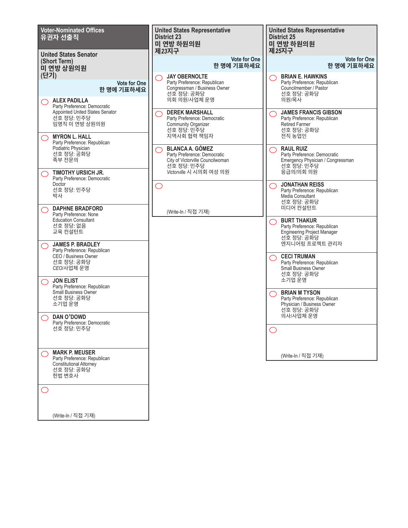| <b>Voter-Nominated Offices</b><br>유권자 선출직<br><b>United States Senator</b>                                                                                                   | <b>United States Representative</b><br><b>District 23</b><br>미 연방 하원의원<br>제23지구                                                     | <b>United States Representative</b><br><b>District 25</b><br>미 연방 하원의원<br>제25지구                                       |
|-----------------------------------------------------------------------------------------------------------------------------------------------------------------------------|-------------------------------------------------------------------------------------------------------------------------------------|-----------------------------------------------------------------------------------------------------------------------|
| (Short Term)<br>미 연방 상원의원                                                                                                                                                   | <b>Vote for One</b><br>한 명에 기표하세요                                                                                                   | <b>Vote for One</b><br>한 명에 기표하세요                                                                                     |
| (단기)<br><b>Vote for One</b><br>한 명에 기표하세요<br><b>ALEX PADILLA</b>                                                                                                            | <b>JAY OBERNOLTE</b><br>Party Preference: Republican<br>Congressman / Business Owner<br>선호 정당: 공화당<br>의회 의원/사업체 운영                  | <b>BRIAN E. HAWKINS</b><br>Party Preference: Republican<br>Councilmember / Pastor<br>선호 정당: 공화당<br>의원/목사              |
| ( )<br>Party Preference: Democratic<br>Appointed United States Senator<br>선호 정당: 민주당<br>임명직 미 연방 상원의원<br><b>MYRON L. HALL</b><br>$\bigcirc$<br>Party Preference: Republican | <b>DEREK MARSHALL</b><br>Party Preference: Democratic<br><b>Community Organizer</b><br>선호 정당: 민주당<br>지역사회 협력 책임자                    | <b>JAMES FRANCIS GIBSON</b><br>◯<br>Party Preference: Republican<br><b>Retired Farmer</b><br>선호 정당: 공화당<br>전직 농업인     |
| Podiatric Physician<br>선호 정당: 공화당<br>족부 전문의<br>TIMOTHY URSICH JR.                                                                                                           | <b>BLANCA A. GÓMEZ</b><br>Party Preference: Democratic<br>City of Victorville Councilwoman<br>선호 정당: 민주당<br>Victorville 시 시의회 여성 의원 | <b>RAUL RUIZ</b><br>◯<br>Party Preference: Democratic<br>Emergency Physician / Congressman<br>선호 정당: 민주당<br>응급의/의회 의원 |
| ◯<br>Party Preference: Democratic<br>Doctor<br>선호 정당: 민주당<br>박사                                                                                                             | $\bigcirc$                                                                                                                          | <b>JONATHAN REISS</b><br>◯<br>Party Preference: Republican<br>Media Consultant<br>선호 정당: 공화당                          |
| <b>DAPHNE BRADFORD</b><br>◯<br>Party Preference: None<br><b>Education Consultant</b><br>선호 정당: 없음<br>교육 컨설턴트                                                                | (Write-In / 직접 기재)                                                                                                                  | 미디어 컨설턴트<br><b>BURT THAKUR</b><br>◯<br>Party Preference: Republican<br>Engineering Project Manager<br>선호 정당: 공화당      |
| <b>JAMES P. BRADLEY</b><br>◯<br>Party Preference: Republican<br>CEO / Business Owner<br>선호 정당: 공화당<br>CEO/사업체 운영                                                            |                                                                                                                                     | 엔지니어링 프로젝트 관리자<br><b>CECI TRUMAN</b><br>⌒<br>Party Preference: Republican<br>Small Business Owner<br>선호 정당: 공화당       |
| <b>JON ELIST</b><br>◯<br>Party Preference: Republican<br><b>Small Business Owner</b><br>선호 정당: 공화당<br>소기업 운영                                                                |                                                                                                                                     | 소기업 운영<br><b>BRIAN M TYSON</b><br>◯<br>Party Preference: Republican<br>Physician / Business Owner<br>선호 정당: 공화당       |
| DAN O'DOWD<br>Party Preference: Democratic<br>선호 정당: 민주당                                                                                                                    |                                                                                                                                     | 의사/사업체 운영                                                                                                             |
| <b>MARK P. MEUSER</b><br>Party Preference: Republican<br><b>Constitutional Attorney</b><br>선호 정당: 공화당<br>헌법 변호사<br>O                                                        |                                                                                                                                     | (Write-In / 직접 기재)                                                                                                    |
|                                                                                                                                                                             |                                                                                                                                     |                                                                                                                       |

(Write-In / 직접 기재)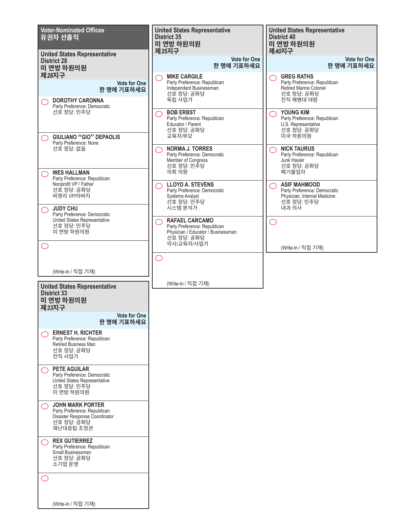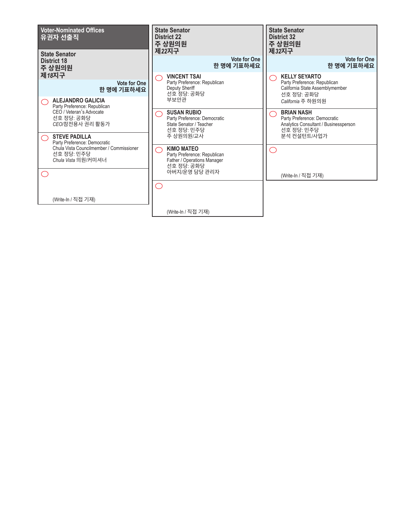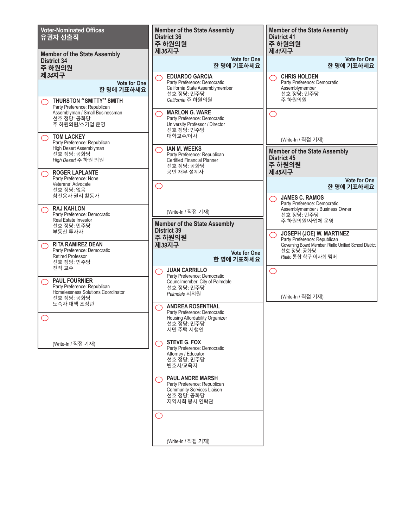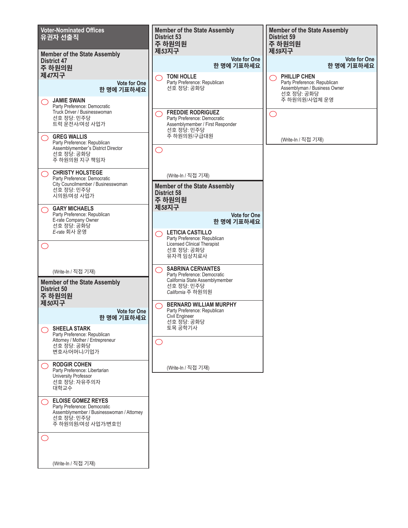![](_page_11_Figure_0.jpeg)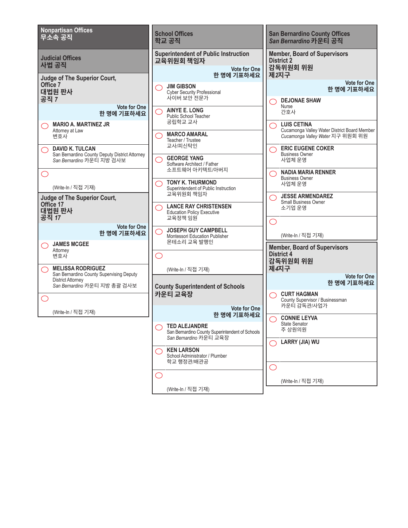![](_page_12_Figure_0.jpeg)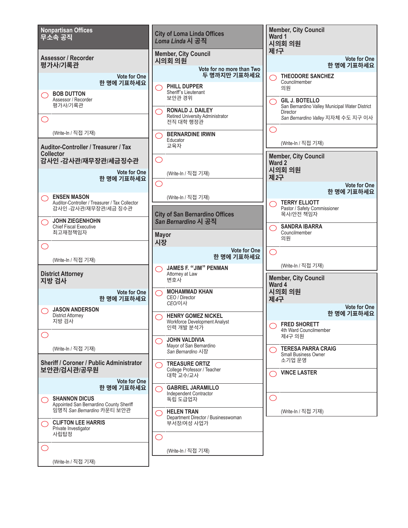![](_page_13_Figure_0.jpeg)